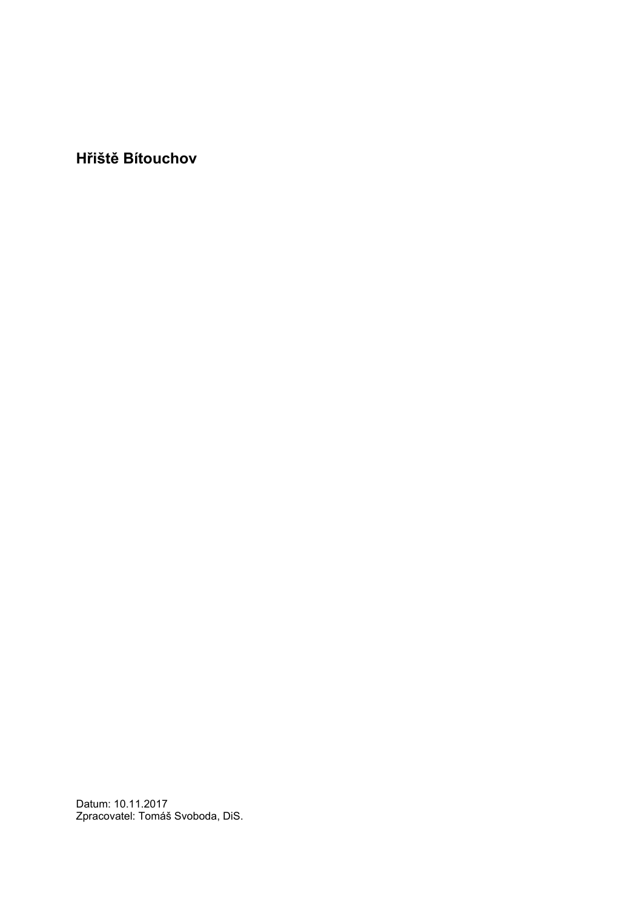**Hřiště Bítouchov**

Datum: 10.11.2017 Zpracovatel: Tomáš Svoboda, DiS.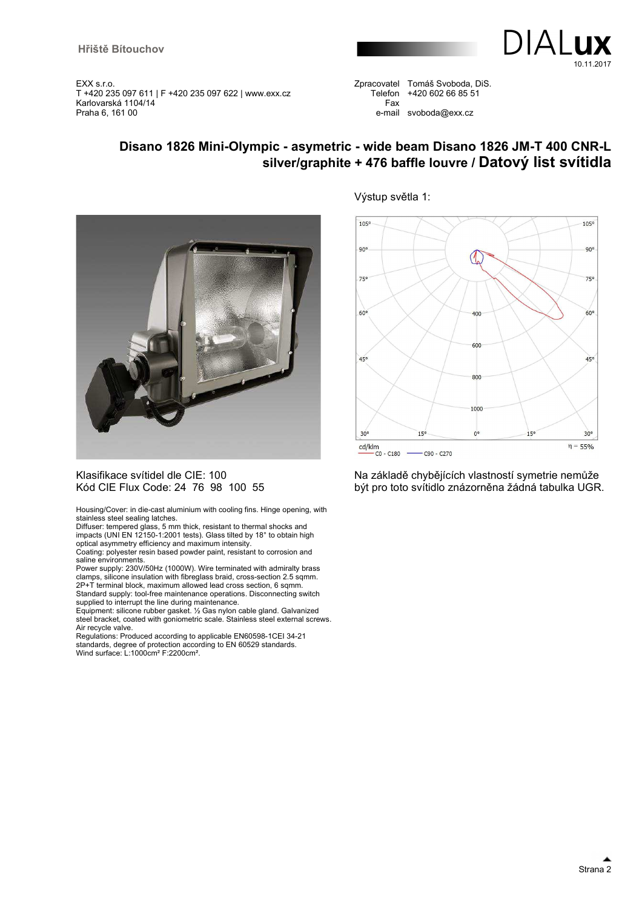

Zpracovatel Tomáš Svoboda, DiS. Telefon +420 602 66 85 51 Fax e-mail svoboda@exx.cz

### **Disano 1826 Mini-Olympic - asymetric - wide beam Disano 1826 JM-T 400 CNR-L silver/graphite + 476 baffle louvre / Datový list svítidla**



#### Klasifikace svítidel dle CIE: 100 Kód CIE Flux Code: 24 76 98 100 55

Housing/Cover: in die-cast aluminium with cooling fins. Hinge opening, with stainless steel sealing latches.

Diffuser: tempered glass, 5 mm thick, resistant to thermal shocks and impacts (UNI EN 12150-1:2001 tests). Glass tilted by 18° to obtain high optical asymmetry efficiency and maximum intensity.

Coating: polyester resin based powder paint, resistant to corrosion and saline environments.

Power supply: 230V/50Hz (1000W). Wire terminated with admiralty brass clamps, silicone insulation with fibreglass braid, cross-section 2.5 sqmm. 2P+T terminal block, maximum allowed lead cross section, 6 sqmm.

Standard supply: tool-free maintenance operations. Disconnecting switch supplied to interrupt the line during maintenance.

Equipment: silicone rubber gasket. ½ Gas nylon cable gland. Galvanized steel bracket, coated with goniometric scale. Stainless steel external screws. Air recycle valve.

Regulations: Produced according to applicable EN60598-1CEI 34-21 standards, degree of protection according to EN 60529 standards. Wind surface: L:1000cm² F:2200cm².

#### Výstup světla 1:



Na základě chybějících vlastností symetrie nemůže být pro toto svítidlo znázorněna žádná tabulka UGR.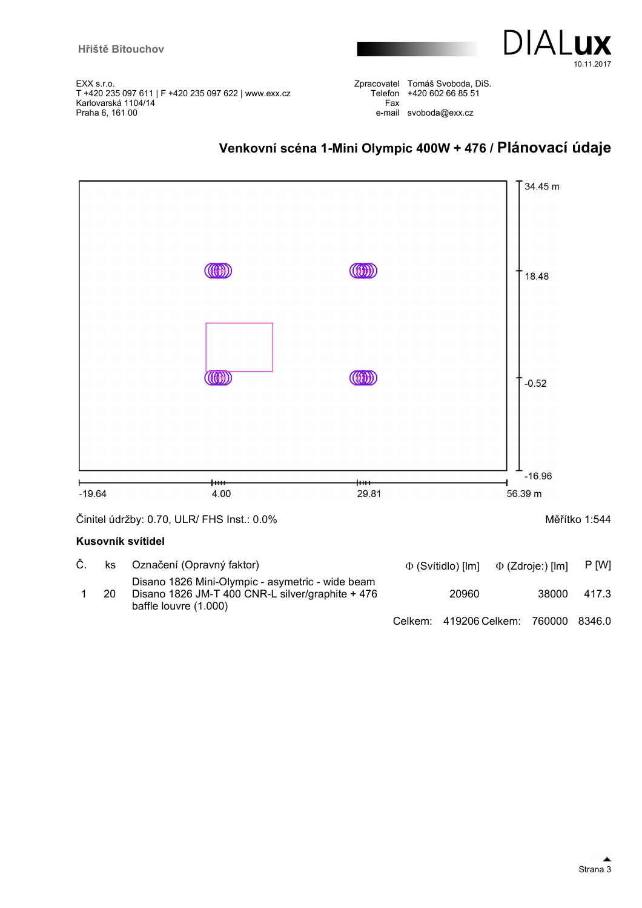

|     | Zpracovatel Tomáš Svoboda, DiS. |
|-----|---------------------------------|
|     | Telefon +420 602 66 85 51       |
| Fax |                                 |
|     | e-mail svoboda@exx.cz           |



# **Venkovní scéna 1-Mini Olympic 400W + 476 / Plánovací údaje**

Činitel údržby: 0.70, ULR/ FHS Inst.: 0.0% Měřítko 1:544

#### **Kusovník svítidel**

|    | ks Označení (Opravný faktor)                                                                                                  | $\Phi$ (Svítidlo) [lm] $\Phi$ (Zdroje:) [lm] |       | P [W] |
|----|-------------------------------------------------------------------------------------------------------------------------------|----------------------------------------------|-------|-------|
| 20 | Disano 1826 Mini-Olympic - asymetric - wide beam<br>Disano 1826 JM-T 400 CNR-L silver/graphite + 476<br>baffle louvre (1.000) | 20960                                        | 38000 | 417.3 |
|    |                                                                                                                               | Celkem: 419206 Celkem: 760000 8346.0         |       |       |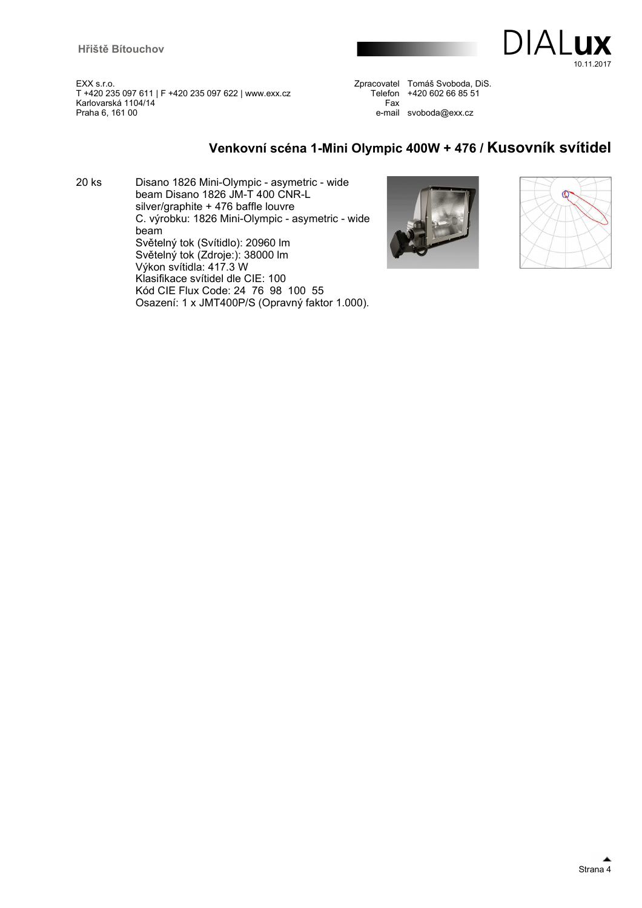

Zpracovatel Tomáš Svoboda, DiS. Telefon +420 602 66 85 51 Fax e-mail svoboda@exx.cz

### **Venkovní scéna 1-Mini Olympic 400W + 476 / Kusovník svítidel**

20 ks Disano 1826 Mini-Olympic - asymetric - wide beam Disano 1826 JM-T 400 CNR-L silver/graphite + 476 baffle louvre C. výrobku: 1826 Mini-Olympic - asymetric - wide beam Světelný tok (Svítidlo): 20960 lm Světelný tok (Zdroje:): 38000 lm Výkon svítidla: 417.3 W Klasifikace svítidel dle CIE: 100 Kód CIE Flux Code: 24 76 98 100 55 Osazení: 1 x JMT400P/S (Opravný faktor 1.000).



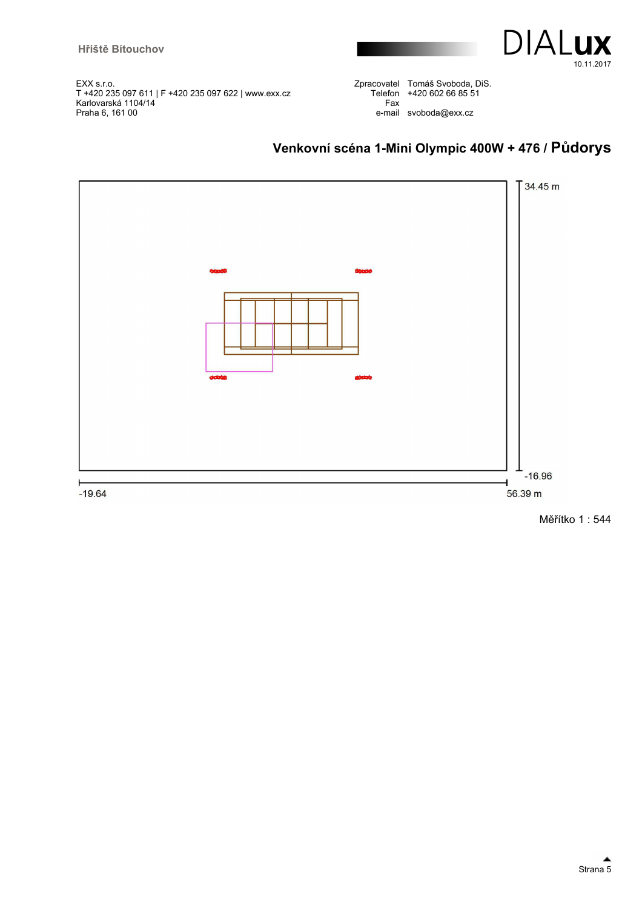

Zpracovatel Tomáš Svoboda, DiS. Telefon +420 602 66 85 51 Fax e-mail svoboda@exx.cz

## **Venkovní scéna 1-Mini Olympic 400W + 476 / Půdorys**



Měřítko 1 : 544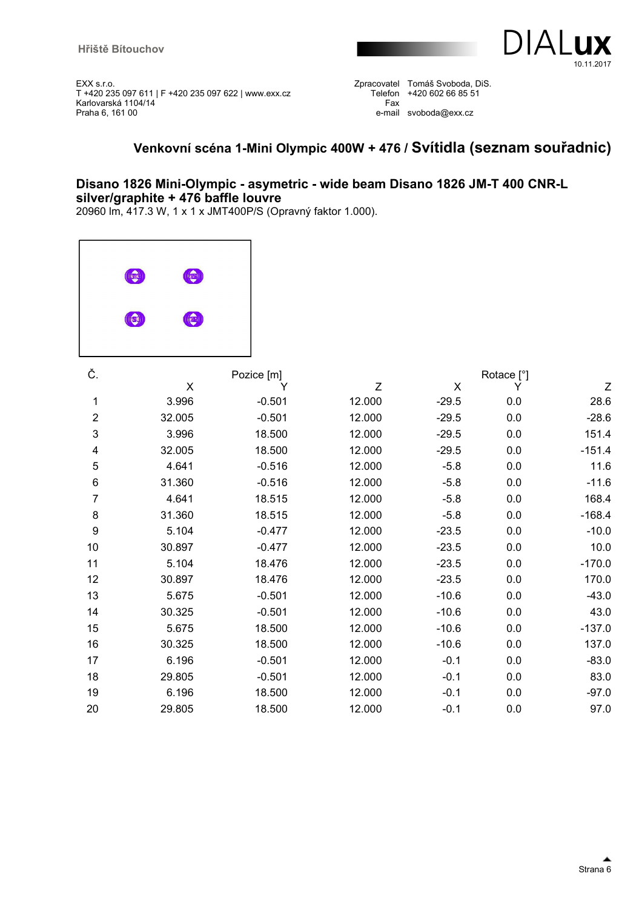

Zpracovatel Tomáš Svoboda, DiS. Telefon +420 602 66 85 51 Fax e-mail svoboda@exx.cz

### **Venkovní scéna 1-Mini Olympic 400W + 476 / Svítidla (seznam souřadnic)**

### **Disano 1826 Mini-Olympic - asymetric - wide beam Disano 1826 JM-T 400 CNR-L silver/graphite + 476 baffle louvre**

20960 lm, 417.3 W, 1 x 1 x JMT400P/S (Opravný faktor 1.000).

| $(\mathsf{I}(\mathsf{e}_1 \mathsf{c}_2))$ | C    |
|-------------------------------------------|------|
| (x)                                       | (35) |
|                                           |      |

| Č.                        |        | Pozice [m] |        |         | Rotace [°] |                           |
|---------------------------|--------|------------|--------|---------|------------|---------------------------|
|                           | X      | Y          | Z      | X       | Y          | $\ensuremath{\mathsf{Z}}$ |
| 1                         | 3.996  | $-0.501$   | 12.000 | $-29.5$ | 0.0        | 28.6                      |
| $\overline{2}$            | 32.005 | $-0.501$   | 12.000 | $-29.5$ | 0.0        | $-28.6$                   |
| $\ensuremath{\mathsf{3}}$ | 3.996  | 18.500     | 12.000 | $-29.5$ | 0.0        | 151.4                     |
| 4                         | 32.005 | 18.500     | 12.000 | $-29.5$ | 0.0        | $-151.4$                  |
| $\mathbf 5$               | 4.641  | $-0.516$   | 12.000 | $-5.8$  | 0.0        | 11.6                      |
| 6                         | 31.360 | $-0.516$   | 12.000 | $-5.8$  | 0.0        | $-11.6$                   |
| 7                         | 4.641  | 18.515     | 12.000 | $-5.8$  | 0.0        | 168.4                     |
| 8                         | 31.360 | 18.515     | 12.000 | $-5.8$  | 0.0        | $-168.4$                  |
| $\boldsymbol{9}$          | 5.104  | $-0.477$   | 12.000 | $-23.5$ | 0.0        | $-10.0$                   |
| 10                        | 30.897 | $-0.477$   | 12.000 | $-23.5$ | 0.0        | 10.0                      |
| 11                        | 5.104  | 18.476     | 12.000 | $-23.5$ | 0.0        | $-170.0$                  |
| 12                        | 30.897 | 18.476     | 12.000 | $-23.5$ | 0.0        | 170.0                     |
| 13                        | 5.675  | $-0.501$   | 12.000 | $-10.6$ | 0.0        | $-43.0$                   |
| 14                        | 30.325 | $-0.501$   | 12.000 | $-10.6$ | 0.0        | 43.0                      |
| 15                        | 5.675  | 18.500     | 12.000 | $-10.6$ | 0.0        | $-137.0$                  |
| 16                        | 30.325 | 18.500     | 12.000 | $-10.6$ | 0.0        | 137.0                     |
| 17                        | 6.196  | $-0.501$   | 12.000 | $-0.1$  | 0.0        | $-83.0$                   |
| 18                        | 29.805 | $-0.501$   | 12.000 | $-0.1$  | 0.0        | 83.0                      |
| 19                        | 6.196  | 18.500     | 12.000 | $-0.1$  | 0.0        | $-97.0$                   |
| 20                        | 29.805 | 18.500     | 12.000 | $-0.1$  | 0.0        | 97.0                      |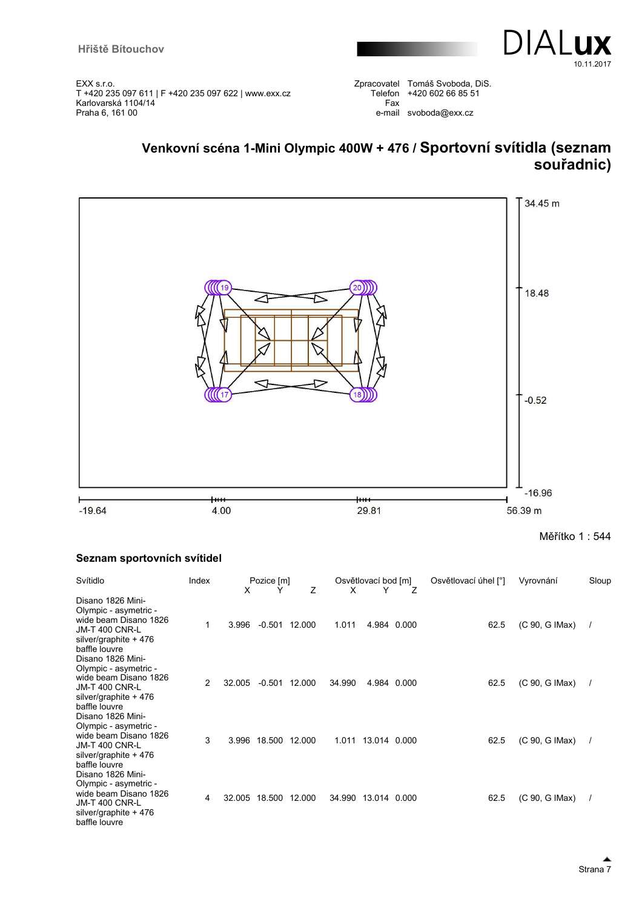

Zpracovatel Tomáš Svoboda, DiS. Telefon +420 602 66 85 51 Fax e-mail svoboda@exx.cz

## **Venkovní scéna 1-Mini Olympic 400W + 476 / Sportovní svítidla (seznam souřadnic)**



Měřítko 1 : 544

#### **Seznam sportovních svítidel**

| Svítidlo                                                                                                                               | Index          | X      | Pozice [m]<br>Y | Z               | X      | Osvětlovací bod [m]<br>Y | 7           | Osvětlovací úhel [°] | Vyrovnání      | Sloup |
|----------------------------------------------------------------------------------------------------------------------------------------|----------------|--------|-----------------|-----------------|--------|--------------------------|-------------|----------------------|----------------|-------|
| Disano 1826 Mini-<br>Olympic - asymetric -<br>wide beam Disano 1826<br><b>JM-T 400 CNR-L</b><br>silver/graphite + 476<br>baffle louvre | 1              | 3.996  |                 | $-0.501$ 12.000 | 1.011  |                          | 4.984 0.000 | 62.5                 | (C 90, G IMax) |       |
| Disano 1826 Mini-<br>Olympic - asymetric -<br>wide beam Disano 1826<br><b>JM-T 400 CNR-L</b><br>silver/graphite + 476<br>baffle louvre | $\overline{2}$ | 32.005 |                 | $-0.501$ 12.000 | 34.990 |                          | 4.984 0.000 | 62.5                 | (C 90, G IMax) |       |
| Disano 1826 Mini-<br>Olympic - asymetric -<br>wide beam Disano 1826<br><b>JM-T 400 CNR-L</b><br>silver/graphite + 476<br>baffle louvre | 3              | 3.996  | 18.500 12.000   |                 |        | 1.011 13.014 0.000       |             | 62.5                 | (C 90, G IMax) |       |
| Disano 1826 Mini-<br>Olympic - asymetric -<br>wide beam Disano 1826<br><b>JM-T 400 CNR-L</b><br>silver/graphite + 476<br>baffle louvre | 4              | 32.005 |                 | 18.500 12.000   | 34.990 | 13.014 0.000             |             | 62.5                 | (C 90, G IMax) |       |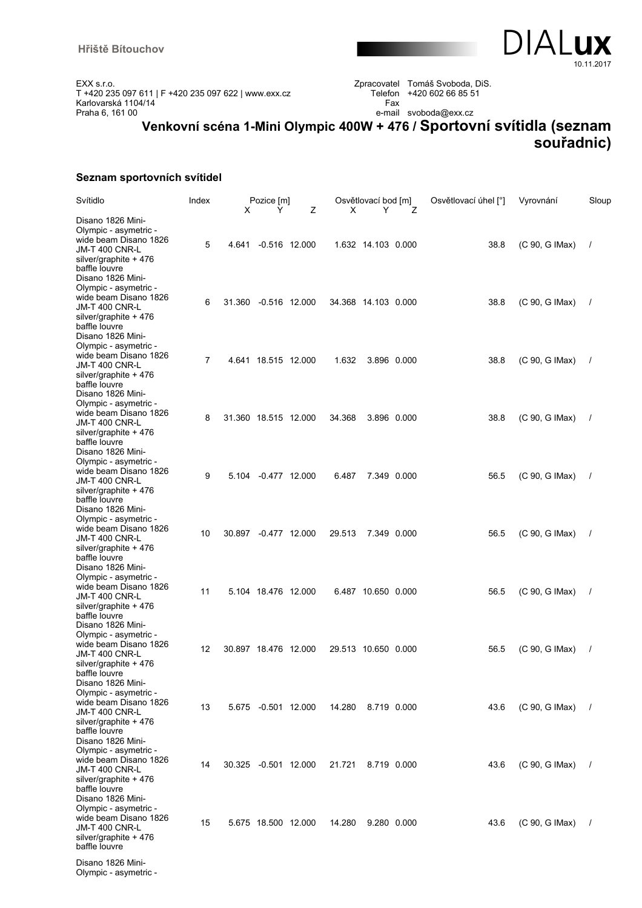

Zpracovatel Tomáš Svoboda, DiS. Telefon +420 602 66 85 51 Fax e-mail svoboda@exx.cz

# **Venkovní scéna 1-Mini Olympic 400W + 476 / Sportovní svítidla (seznam souřadnic)**

#### **Seznam sportovních svítidel**

| Svítidlo                                                                                                                                                | Index          | X      | Pozice [m]<br>Y      | Ζ               | X      | Osvětlovací bod [m]<br>Y | Ζ           | Osvětlovací úhel [°] | Vyrovnání      | Sloup    |
|---------------------------------------------------------------------------------------------------------------------------------------------------------|----------------|--------|----------------------|-----------------|--------|--------------------------|-------------|----------------------|----------------|----------|
| Disano 1826 Mini-<br>Olympic - asymetric -<br>wide beam Disano 1826<br><b>JM-T 400 CNR-L</b><br>silver/graphite + 476<br>baffle louvre                  | 5              | 4.641  |                      | $-0.516$ 12.000 |        | 1.632 14.103 0.000       |             | 38.8                 | (C 90, G IMax) | $\prime$ |
| Disano 1826 Mini-<br>Olympic - asymetric -<br>wide beam Disano 1826<br><b>JM-T 400 CNR-L</b><br>silver/graphite + 476                                   | 6              | 31.360 |                      | $-0.516$ 12.000 |        | 34.368 14.103 0.000      |             | 38.8                 | (C 90, G IMax) |          |
| baffle louvre<br>Disano 1826 Mini-<br>Olympic - asymetric -<br>wide beam Disano 1826<br><b>JM-T 400 CNR-L</b><br>silver/graphite + 476<br>baffle louvre | $\overline{7}$ |        | 4.641 18.515 12.000  |                 | 1.632  | 3.896 0.000              |             | 38.8                 | (C 90, G IMax) | $\prime$ |
| Disano 1826 Mini-<br>Olympic - asymetric -<br>wide beam Disano 1826<br><b>JM-T 400 CNR-L</b><br>silver/graphite + 476<br>baffle louvre                  | 8              |        | 31.360 18.515 12.000 |                 | 34.368 | 3.896 0.000              |             | 38.8                 | (C 90, G IMax) | $\prime$ |
| Disano 1826 Mini-<br>Olympic - asymetric -<br>wide beam Disano 1826<br><b>JM-T 400 CNR-L</b><br>silver/graphite + 476<br>baffle louvre                  | 9              |        | 5.104 -0.477 12.000  |                 | 6.487  |                          | 7.349 0.000 | 56.5                 | (C 90, G IMax) | $\prime$ |
| Disano 1826 Mini-<br>Olympic - asymetric -<br>wide beam Disano 1826<br>JM-T 400 CNR-L<br>silver/graphite + 476<br>baffle louvre                         | 10             |        | 30.897 -0.477 12.000 |                 | 29.513 | 7.349 0.000              |             | 56.5                 | (C 90, G IMax) | $\prime$ |
| Disano 1826 Mini-<br>Olympic - asymetric -<br>wide beam Disano 1826<br><b>JM-T 400 CNR-L</b><br>silver/graphite + 476<br>baffle louvre                  | 11             |        | 5.104 18.476 12.000  |                 |        | 6.487 10.650 0.000       |             | 56.5                 | (C 90, G IMax) | $\prime$ |
| Disano 1826 Mini-<br>Olympic - asymetric -<br>wide beam Disano 1826<br><b>JM-T 400 CNR-L</b><br>silver/graphite + 476<br>baffle louvre                  | 12             |        | 30.897 18.476 12.000 |                 |        | 29.513 10.650 0.000      |             | 56.5                 | (C 90, G IMax) |          |
| Disano 1826 Mini-<br>Olympic - asymetric -<br>wide beam Disano 1826<br><b>JM-T 400 CNR-L</b><br>silver/graphite + 476<br>baffle louvre                  | 13             |        | 5.675 -0.501 12.000  |                 | 14.280 | 8.719 0.000              |             | 43.6                 | (C 90, G IMax) |          |
| Disano 1826 Mini-<br>Olympic - asymetric -<br>wide beam Disano 1826<br><b>JM-T 400 CNR-L</b><br>silver/graphite + 476<br>baffle louvre                  | 14             |        | 30.325 -0.501 12.000 |                 | 21.721 | 8.719 0.000              |             | 43.6                 | (C 90, G IMax) |          |
| Disano 1826 Mini-<br>Olympic - asymetric -<br>wide beam Disano 1826<br><b>JM-T 400 CNR-L</b><br>silver/graphite + 476<br>baffle louvre                  | 15             |        | 5.675 18.500 12.000  |                 | 14.280 | 9.280 0.000              |             | 43.6                 | (C 90, G IMax) |          |
| Disano 1826 Mini-<br>Olympic - asymetric -                                                                                                              |                |        |                      |                 |        |                          |             |                      |                |          |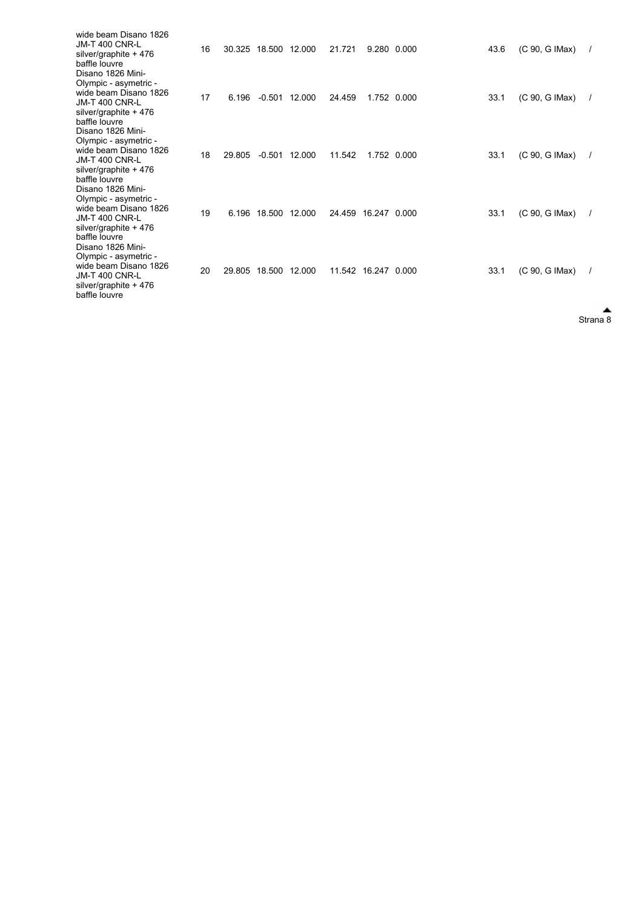| wide beam Disano 1826<br><b>JM-T 400 CNR-L</b><br>silver/graphite + 476<br>baffle louvre<br>Disano 1826 Mini-                          | 16 |        | 30.325 18.500 12.000 |        | 21.721              | 9.280 0.000         |             | 43.6 | (C 90, G IMax) |  |
|----------------------------------------------------------------------------------------------------------------------------------------|----|--------|----------------------|--------|---------------------|---------------------|-------------|------|----------------|--|
| Olympic - asymetric -<br>wide beam Disano 1826<br><b>JM-T 400 CNR-L</b><br>silver/graphite + 476<br>baffle louvre                      | 17 | 6.196  | $-0.501$             | 12.000 | 24.459              | 1.752 0.000         |             | 33.1 | (C 90, G IMax) |  |
| Disano 1826 Mini-<br>Olympic - asymetric -<br>wide beam Disano 1826<br><b>JM-T 400 CNR-L</b><br>silver/graphite + 476<br>baffle louvre | 18 | 29.805 | $-0.501$             | 12.000 | 11.542              |                     | 1.752 0.000 | 33.1 | (C 90, G IMax) |  |
| Disano 1826 Mini-<br>Olympic - asymetric -<br>wide beam Disano 1826<br><b>JM-T 400 CNR-L</b><br>silver/graphite + 476<br>baffle louvre | 19 | 6.196  | 18.500 12.000        |        | 24.459 16.247 0.000 |                     |             | 33.1 | (C 90, G IMax) |  |
| Disano 1826 Mini-<br>Olympic - asymetric -<br>wide beam Disano 1826<br><b>JM-T 400 CNR-L</b><br>silver/graphite + 476<br>baffle louvre | 20 | 29.805 | 18.500               | 12.000 |                     | 11.542 16.247 0.000 |             | 33.1 | (C 90, G IMax) |  |

Strana 8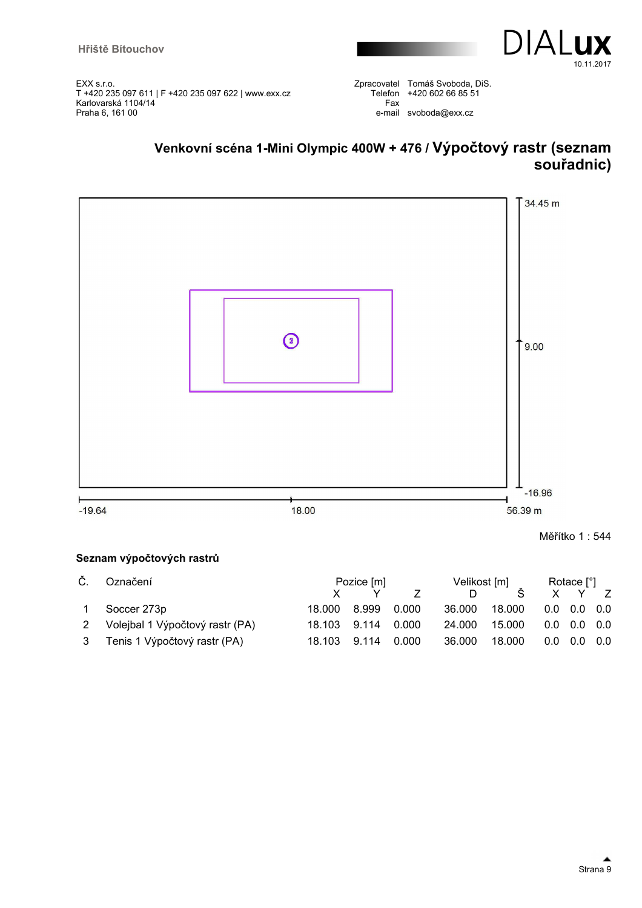



Zpracovatel Tomáš Svoboda, DiS. Telefon +420 602 66 85 51 Fax e-mail svoboda@exx.cz

# **Venkovní scéna 1-Mini Olympic 400W + 476 / Výpočtový rastr (seznam souřadnic)**



Měřítko 1 : 544

#### **Seznam výpočtových rastrů**

| Č. | Označení                          |                    | Pozice [m]    |       |        | Velikost [m] |  |                           | Rotace [°] |  |  |
|----|-----------------------------------|--------------------|---------------|-------|--------|--------------|--|---------------------------|------------|--|--|
|    |                                   |                    |               |       |        |              |  | X Y Z                     |            |  |  |
|    | Soccer 273p                       | 18.000             | 8.999   0.000 |       | 36.000 | 18.000       |  | $0.0\quad 0.0\quad 0.0$   |            |  |  |
|    | 2 Volejbal 1 Výpočtový rastr (PA) | 18.103 9.114 0.000 |               |       | 24.000 | 15.000       |  | $0.0 \quad 0.0 \quad 0.0$ |            |  |  |
|    | 3 Tenis 1 Výpočtový rastr (PA)    | 18.103             | 9.114         | 0.000 | 36.000 | 18.000       |  | $0.0 \quad 0.0 \quad 0.0$ |            |  |  |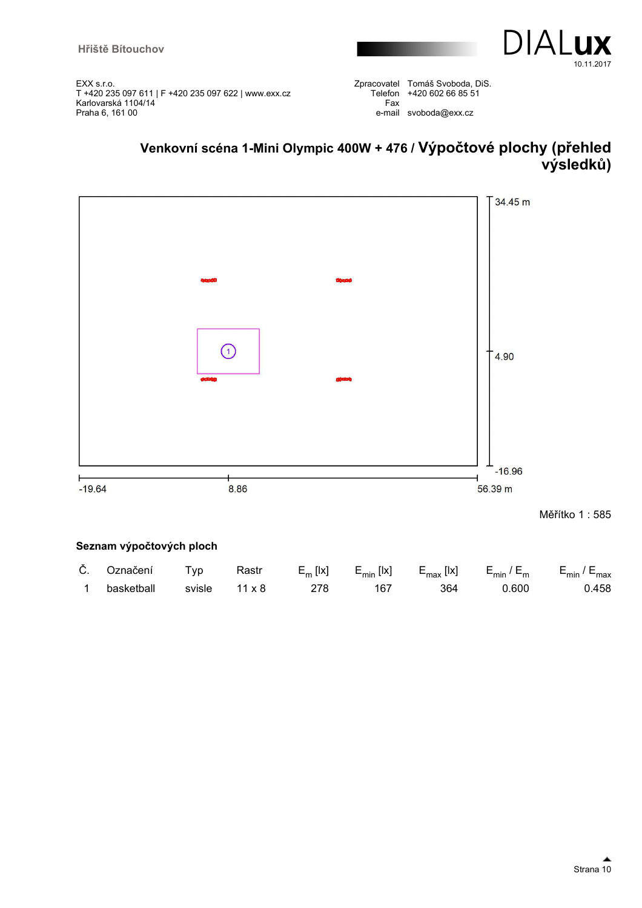

Zpracovatel Tomáš Svoboda, DiS. Telefon +420 602 66 85 51 Fax e-mail svoboda@exx.cz

# **Venkovní scéna 1-Mini Olympic 400W + 476 / Výpočtové plochy (přehled výsledků)**



| Č. Označení | Tvp    | Rastr         | $E_m$ [ x] | $E_{min}$ [lx] $E_{max}$ [lx] |     | $E_{\text{min}}/E_{\text{m}}$ | E <sub>min</sub> / E <sub>max</sub> |
|-------------|--------|---------------|------------|-------------------------------|-----|-------------------------------|-------------------------------------|
| basketball  | svisle | $11 \times 8$ |            | 167                           | 364 | 0.600                         | 0.458                               |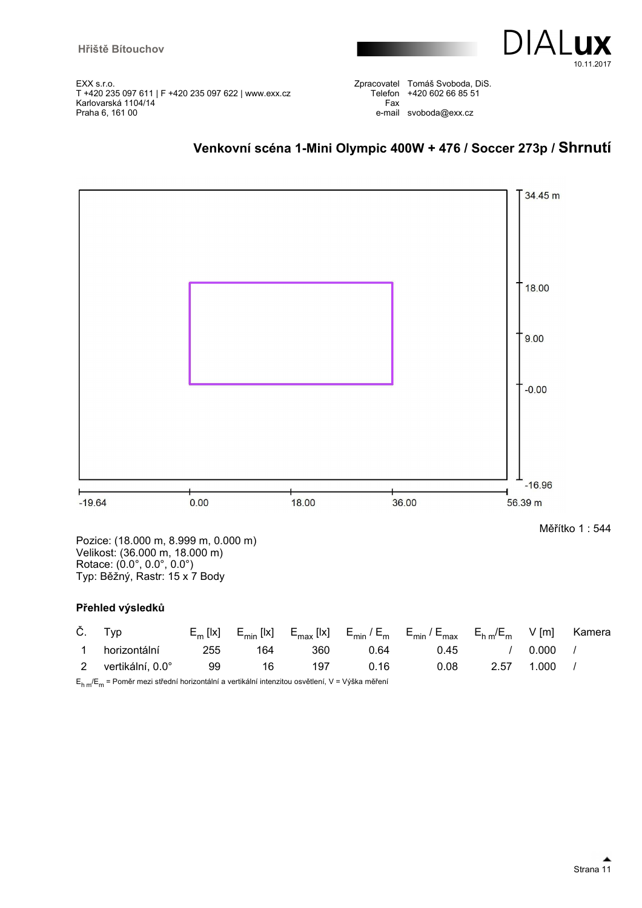

Zpracovatel Tomáš Svoboda, DiS. Telefon +420 602 66 85 51 Fax e-mail svoboda@exx.cz





Pozice: (18.000 m, 8.999 m, 0.000 m) Velikost: (36.000 m, 18.000 m) Rotace: (0.0°, 0.0°, 0.0°) Typ: Běžný, Rastr: 15 x 7 Body

#### **Přehled výsledků**

|          | Č. Typ             |     |     |     |      | $E_m$ [lx] $E_{min}$ [lx] $E_{max}$ [lx] $E_{min}/E_m$ $E_{min}/E_{max}$ $E_{hm}/E_m$ $V$ [m] |      |       | Kamera |
|----------|--------------------|-----|-----|-----|------|-----------------------------------------------------------------------------------------------|------|-------|--------|
| $\sim$ 1 | horizontální       | 255 | 164 | 360 | 0.64 | 0.45                                                                                          |      | 0.000 |        |
|          | 2 vertikální. 0.0° | 99  | 16  | 197 | 0.16 | 0.08                                                                                          | 2.57 | 1.000 |        |

E<sub>h m</sub>/E<sub>m</sub> = Poměr mezi střední horizontální a vertikální intenzitou osvětlení, V = Výška měření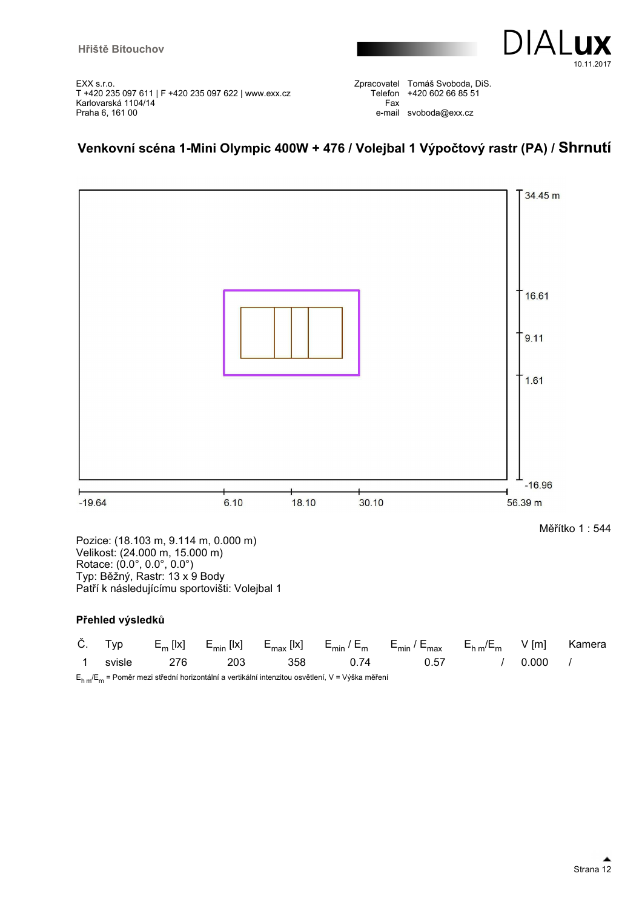

Zpracovatel Tomáš Svoboda, DiS. Telefon +420 602 66 85 51 Fax e-mail svoboda@exx.cz

## **Venkovní scéna 1-Mini Olympic 400W + 476 / Volejbal 1 Výpočtový rastr (PA) / Shrnutí**



Velikost: (24.000 m, 15.000 m) Rotace: (0.0°, 0.0°, 0.0°) Typ: Běžný, Rastr: 13 x 9 Body Patří k následujícímu sportovišti: Volejbal 1

#### **Přehled výsledků**

|          |     |     |     |                                                                                                     | Č. Typ $E_m$ [lx] $E_{min}$ [lx] $E_{max}$ [lx] $E_{min}/E_m$ $E_{min}/E_{max}$ $E_{hm}/E_m$ $V$ [m] Kamera |              |  |
|----------|-----|-----|-----|-----------------------------------------------------------------------------------------------------|-------------------------------------------------------------------------------------------------------------|--------------|--|
| 1 svisle | 276 | 203 | 358 | 0.74                                                                                                | 0.57                                                                                                        | $\sim$ 0.000 |  |
|          |     |     |     | $E_{h,m}/E_m$ = Poměr mezi střední horizontální a vertikální intenzitou osvětlení, V = Výška měření |                                                                                                             |              |  |